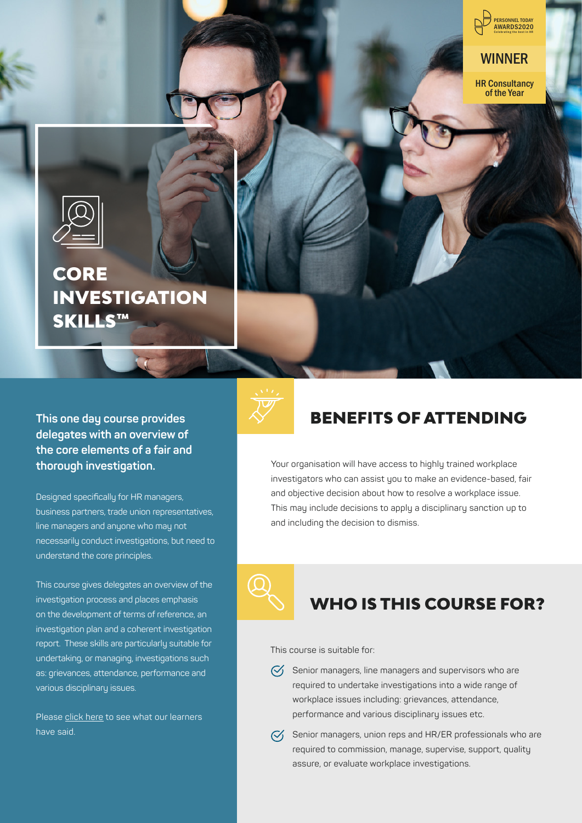

WINNER

HR Consultancy of the Year



# **CORE INVESTIGATION** SKILLS™

**This one day course provides delegates with an overview of the core elements of a fair and thorough investigation.**

Designed specifically for HR managers, business partners, trade union representatives, line managers and anyone who may not necessarily conduct investigations, but need to understand the core principles.

This course gives delegates an overview of the investigation process and places emphasis on the development of terms of reference, an investigation plan and a coherent investigation report. These skills are particularly suitable for undertaking, or managing, investigations such as: grievances, attendance, performance and various disciplinary issues.

Please click here to see what our learners have said.



## BENEFITS OF ATTENDING

Your organisation will have access to highly trained workplace investigators who can assist you to make an evidence-based, fair and objective decision about how to resolve a workplace issue. This may include decisions to apply a disciplinary sanction up to and including the decision to dismiss.

## WHO IS THIS COURSE FOR?

This course is suitable for:

 $\heartsuit$  Senior managers, line managers and supervisors who are required to undertake investigations into a wide range of workplace issues including: grievances, attendance, performance and various disciplinary issues etc.



 $\mathcal{G}_1$  Senior managers, union reps and HR/ER professionals who are required to commission, manage, supervise, support, quality assure, or evaluate workplace investigations.